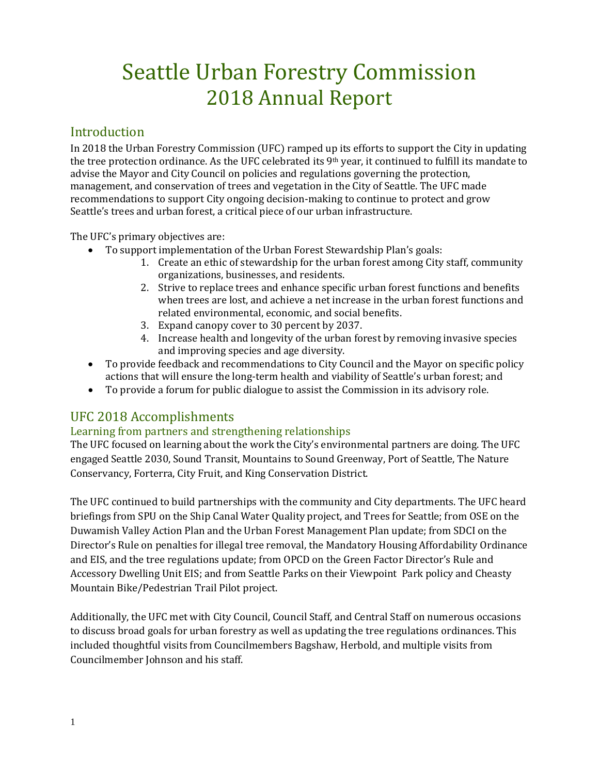# Seattle Urban Forestry Commission 2018 Annual Report

## **Introduction**

In 2018 the Urban Forestry Commission (UFC) ramped up its efforts to support the City in updating the tree protection ordinance. As the UFC celebrated its 9th year, it continued to fulfill its mandate to advise the Mayor and City Council on policies and regulations governing the protection, management, and conservation of trees and vegetation in the City of Seattle. The UFC made recommendations to support City ongoing decision-making to continue to protect and grow Seattle's trees and urban forest, a critical piece of our urban infrastructure.

The UFC's primary objectives are:

- To support implementation of the Urban Forest Stewardship Plan's goals:
	- 1. Create an ethic of stewardship for the urban forest among City staff, community organizations, businesses, and residents.
	- 2. Strive to replace trees and enhance specific urban forest functions and benefits when trees are lost, and achieve a net increase in the urban forest functions and related environmental, economic, and social benefits.
	- 3. Expand canopy cover to 30 percent by 2037.
	- 4. Increase health and longevity of the urban forest by removing invasive species and improving species and age diversity.
- To provide feedback and recommendations to City Council and the Mayor on specific policy actions that will ensure the long-term health and viability of Seattle's urban forest; and
- To provide a forum for public dialogue to assist the Commission in its advisory role.

# UFC 2018 Accomplishments

### Learning from partners and strengthening relationships

The UFC focused on learning about the work the City's environmental partners are doing. The UFC engaged Seattle 2030, Sound Transit, Mountains to Sound Greenway, Port of Seattle, The Nature Conservancy, Forterra, City Fruit, and King Conservation District.

The UFC continued to build partnerships with the community and City departments. The UFC heard briefings from SPU on the Ship Canal Water Quality project, and Trees for Seattle; from OSE on the Duwamish Valley Action Plan and the Urban Forest Management Plan update; from SDCI on the Director's Rule on penalties for illegal tree removal, the Mandatory Housing Affordability Ordinance and EIS, and the tree regulations update; from OPCD on the Green Factor Director's Rule and Accessory Dwelling Unit EIS; and from Seattle Parks on their Viewpoint Park policy and Cheasty Mountain Bike/Pedestrian Trail Pilot project.

Additionally, the UFC met with City Council, Council Staff, and Central Staff on numerous occasions to discuss broad goals for urban forestry as well as updating the tree regulations ordinances. This included thoughtful visits from Councilmembers Bagshaw, Herbold, and multiple visits from Councilmember Johnson and his staff.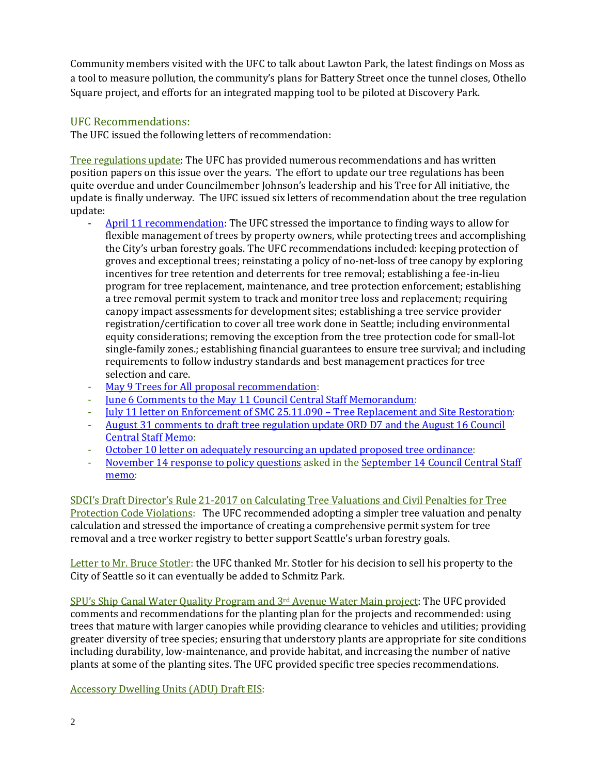Community members visited with the UFC to talk about Lawton Park, the latest findings on Moss as a tool to measure pollution, the community's plans for Battery Street once the tunnel closes, Othello Square project, and efforts for an integrated mapping tool to be piloted at Discovery Park.

## UFC Recommendations:

The UFC issued the following letters of recommendation:

Tree regulations update: The UFC has provided numerous recommendations and has written position papers on this issue over the years. The effort to update our tree regulations has been quite overdue and under Councilmember Johnson's leadership and his Tree for All initiative, the update is finally underway. The UFC issued six letters of recommendation about the tree regulation update:

- [April 11 recommendation:](http://www.seattle.gov/Documents/Departments/UrbanForestryCommission/FinalIssuedDocuments/Recommendations/ADOPTEDTreeRegsLetter041118Corrected.pdf) The UFC stressed the importance to finding ways to allow for flexible management of trees by property owners, while protecting trees and accomplishing the City's urban forestry goals. The UFC recommendations included: keeping protection of groves and exceptional trees; reinstating a policy of no-net-loss of tree canopy by exploring incentives for tree retention and deterrents for tree removal; establishing a fee-in-lieu program for tree replacement, maintenance, and tree protection enforcement; establishing a tree removal permit system to track and monitor tree loss and replacement; requiring canopy impact assessments for development sites; establishing a tree service provider registration/certification to cover all tree work done in Seattle; including environmental equity considerations; removing the exception from the tree protection code for small-lot single-family zones.; establishing financial guarantees to ensure tree survival; and including requirements to follow industry standards and best management practices for tree selection and care.
- [May 9 Trees for All proposal recommendation:](http://www.seattle.gov/Documents/Departments/UrbanForestryCommission/FinalIssuedDocuments/Recommendations/ADOPTEDCMJohnsonTreesforAll050918.pdf)<br>- June 6 Comments to the May 11 Council Centra
- [June 6 Comments to the May 11 Council Central Staff Memorandum:](http://www.seattle.gov/Documents/Departments/UrbanForestryCommission/FinalIssuedDocuments/Recommendations/ADOPTEDTreeRegsPLUZComm060618.pdf)
- <u>[July 11 letter on Enforcement of SMC 25.11.090 –](http://www.seattle.gov/Documents/Departments/UrbanForestryCommission/FinalIssuedDocuments/Recommendations/AdoptedTreeRegsEnforcement071118.pdf) Tree Replacement and Site Restoration</u>:<br>- August 31 comments to draft tree regulation undate ORD D7 and the August 16 Council
- [August 31 comments to draft tree regulation update ORD D7 and the August 16 Council](http://www.seattle.gov/Documents/Departments/UrbanForestryCommission/FinalIssuedDocuments/Recommendations/ADOPTEDLetterTreeOrd083118.pdf)  [Central Staff Memo:](http://www.seattle.gov/Documents/Departments/UrbanForestryCommission/FinalIssuedDocuments/Recommendations/ADOPTEDLetterTreeOrd083118.pdf)
- [October 10 letter on adequately resourcing an updated proposed tree ordinance:](http://www.seattle.gov/Documents/Departments/UrbanForestryCommission/FinalIssuedDocuments/Recommendations/ADOPTED-UFCTreeOrdBudget101018.pdf)
- [November 14 response to policy questions](http://www.seattle.gov/Documents/Departments/UrbanForestryCommission/FinalIssuedDocuments/Recommendations/ADOPTEDTreeOrdLetter111418.pdf) asked in the September 14 Council Central Staff [memo:](http://www.seattle.gov/Documents/Departments/UrbanForestryCommission/2018/2018docs/CentralStaffMemo091418TreeRegsPolicyQs.pdf)

SDCI's Draft Director's Rule 21-2017 on Calculating Tree Valuations and Civil Penalties for Tree Protection Code Violations: The UFC recommended adopting a simpler tree valuation and penalty calculation and stressed the importance of creating a comprehensive permit system for tree removal and a tree worker registry to better support Seattle's urban forestry goals.

Letter to Mr. Bruce Stotler: the UFC thanked Mr. Stotler for his decision to sell his property to the City of Seattle so it can eventually be added to Schmitz Park.

SPU's Ship Canal Water Quality Program and 3rd Avenue Water Main project: The UFC provided comments and recommendations for the planting plan for the projects and recommended: using trees that mature with larger canopies while providing clearance to vehicles and utilities; providing greater diversity of tree species; ensuring that understory plants are appropriate for site conditions including durability, low-maintenance, and provide habitat, and increasing the number of native plants at some of the planting sites. The UFC provided specific tree species recommendations.

Accessory Dwelling Units (ADU) Draft EIS: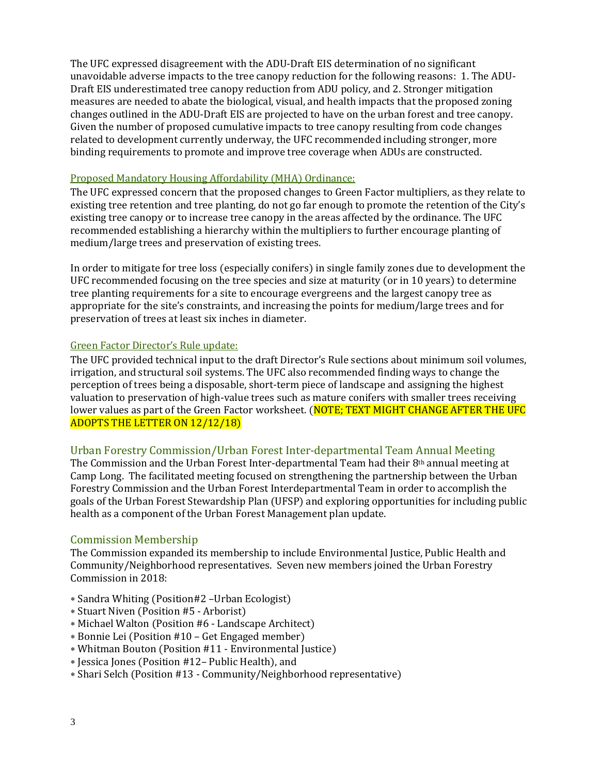The UFC expressed disagreement with the ADU-Draft EIS determination of no significant unavoidable adverse impacts to the tree canopy reduction for the following reasons: 1. The ADU-Draft EIS underestimated tree canopy reduction from ADU policy, and 2. Stronger mitigation measures are needed to abate the biological, visual, and health impacts that the proposed zoning changes outlined in the ADU-Draft EIS are projected to have on the urban forest and tree canopy. Given the number of proposed cumulative impacts to tree canopy resulting from code changes related to development currently underway, the UFC recommended including stronger, more binding requirements to promote and improve tree coverage when ADUs are constructed.

#### Proposed Mandatory Housing Affordability (MHA) Ordinance:

The UFC expressed concern that the proposed changes to Green Factor multipliers, as they relate to existing tree retention and tree planting, do not go far enough to promote the retention of the City's existing tree canopy or to increase tree canopy in the areas affected by the ordinance. The UFC recommended establishing a hierarchy within the multipliers to further encourage planting of medium/large trees and preservation of existing trees.

In order to mitigate for tree loss (especially conifers) in single family zones due to development the UFC recommended focusing on the tree species and size at maturity (or in 10 years) to determine tree planting requirements for a site to encourage evergreens and the largest canopy tree as appropriate for the site's constraints, and increasing the points for medium/large trees and for preservation of trees at least six inches in diameter.

#### Green Factor Director's Rule update:

The UFC provided technical input to the draft Director's Rule sections about minimum soil volumes, irrigation, and structural soil systems. The UFC also recommended finding ways to change the perception of trees being a disposable, short-term piece of landscape and assigning the highest valuation to preservation of high-value trees such as mature conifers with smaller trees receiving lower values as part of the Green Factor worksheet. (NOTE: TEXT MIGHT CHANGE AFTER THE UFC ADOPTS THE LETTER ON 12/12/18)

#### Urban Forestry Commission/Urban Forest Inter-departmental Team Annual Meeting

The Commission and the Urban Forest Inter-departmental Team had their  $8<sup>th</sup>$  annual meeting at Camp Long. The facilitated meeting focused on strengthening the partnership between the Urban Forestry Commission and the Urban Forest Interdepartmental Team in order to accomplish the goals of the Urban Forest Stewardship Plan (UFSP) and exploring opportunities for including public health as a component of the Urban Forest Management plan update.

#### Commission Membership

The Commission expanded its membership to include Environmental Justice, Public Health and Community/Neighborhood representatives. Seven new members joined the Urban Forestry Commission in 2018:

- ∗ Sandra Whiting (Position#2 –Urban Ecologist)
- ∗ Stuart Niven (Position #5 Arborist)
- ∗ Michael Walton (Position #6 Landscape Architect)
- ∗ Bonnie Lei (Position #10 Get Engaged member)
- ∗ Whitman Bouton (Position #11 Environmental Justice)
- ∗ Jessica Jones (Position #12– Public Health), and
- ∗ Shari Selch (Position #13 Community/Neighborhood representative)